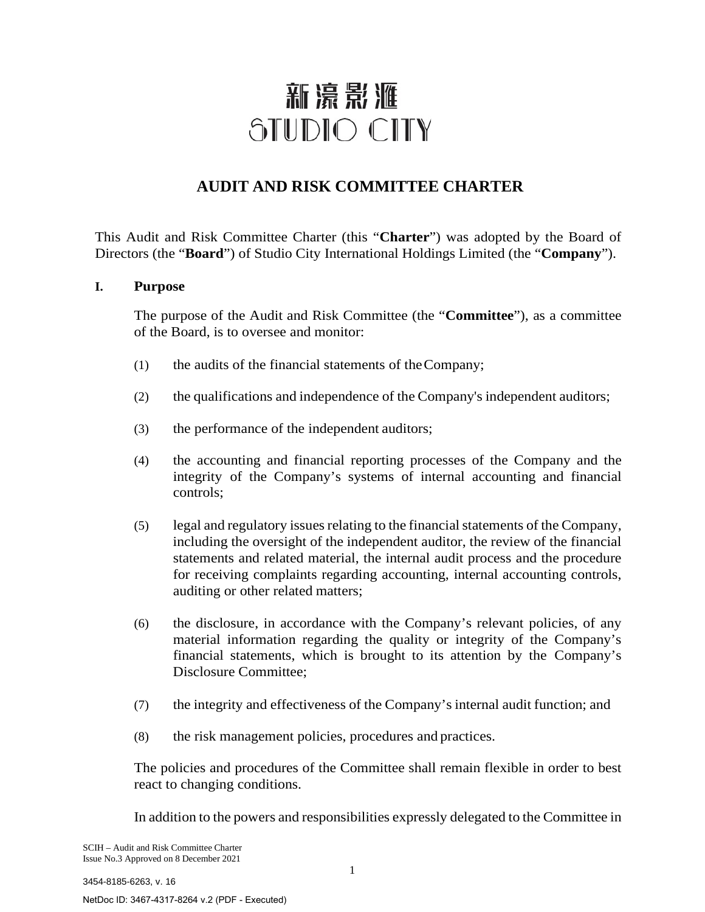# 新濠影滙 STUDIO CITY

# **AUDIT AND RISK COMMITTEE CHARTER**

This Audit and Risk Committee Charter (this "**Charter**") was adopted by the Board of Directors (the "**Board**") of Studio City International Holdings Limited (the "**Company**").

# **I. Purpose**

The purpose of the Audit and Risk Committee (the "**Committee**"), as a committee of the Board, is to oversee and monitor:

- (1) the audits of the financial statements of theCompany;
- (2) the qualifications and independence of the Company's independent auditors;
- (3) the performance of the independent auditors;
- (4) the accounting and financial reporting processes of the Company and the integrity of the Company's systems of internal accounting and financial controls;
- (5) legal and regulatory issues relating to the financial statements of the Company, including the oversight of the independent auditor, the review of the financial statements and related material, the internal audit process and the procedure for receiving complaints regarding accounting, internal accounting controls, auditing or other related matters;
- (6) the disclosure, in accordance with the Company's relevant policies, of any material information regarding the quality or integrity of the Company's financial statements, which is brought to its attention by the Company's Disclosure Committee;
- (7) the integrity and effectiveness of the Company's internal audit function; and
- (8) the risk management policies, procedures and practices.

The policies and procedures of the Committee shall remain flexible in order to best react to changing conditions.

In addition to the powers and responsibilities expressly delegated to the Committee in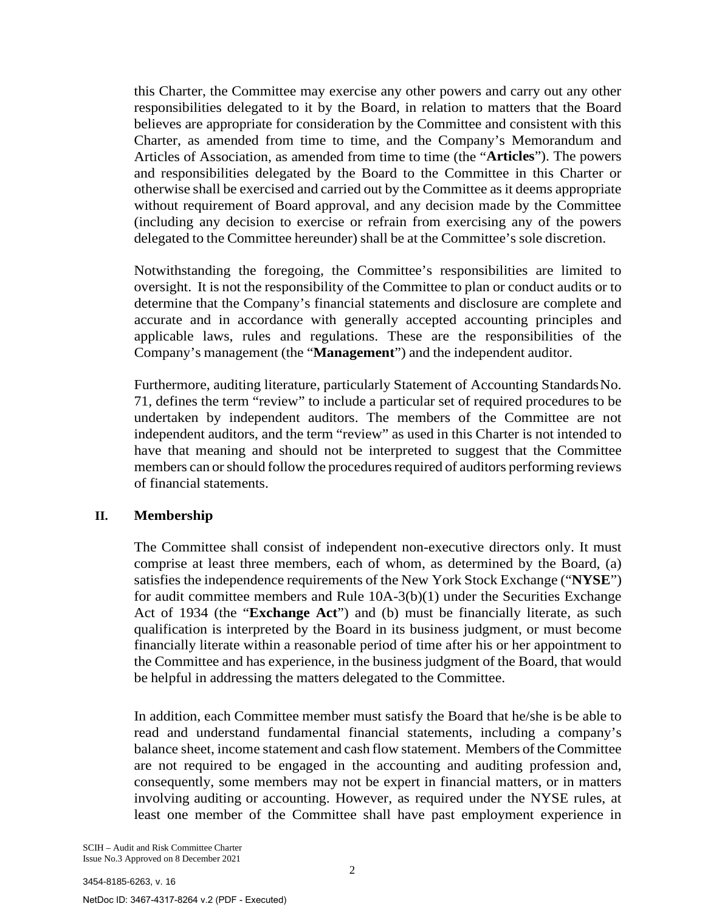this Charter, the Committee may exercise any other powers and carry out any other responsibilities delegated to it by the Board, in relation to matters that the Board believes are appropriate for consideration by the Committee and consistent with this Charter, as amended from time to time, and the Company's Memorandum and Articles of Association, as amended from time to time (the "**Articles**"). The powers and responsibilities delegated by the Board to the Committee in this Charter or otherwise shall be exercised and carried out by the Committee as it deems appropriate without requirement of Board approval, and any decision made by the Committee (including any decision to exercise or refrain from exercising any of the powers delegated to the Committee hereunder) shall be at the Committee's sole discretion.

Notwithstanding the foregoing, the Committee's responsibilities are limited to oversight. It is not the responsibility of the Committee to plan or conduct audits or to determine that the Company's financial statements and disclosure are complete and accurate and in accordance with generally accepted accounting principles and applicable laws, rules and regulations. These are the responsibilities of the Company's management (the "**Management**") and the independent auditor.

Furthermore, auditing literature, particularly Statement of Accounting StandardsNo. 71, defines the term "review" to include a particular set of required procedures to be undertaken by independent auditors. The members of the Committee are not independent auditors, and the term "review" as used in this Charter is not intended to have that meaning and should not be interpreted to suggest that the Committee members can or should follow the procedures required of auditors performing reviews of financial statements.

#### **II. Membership**

The Committee shall consist of independent non-executive directors only. It must comprise at least three members, each of whom, as determined by the Board, (a) satisfies the independence requirements of the New York Stock Exchange ("**NYSE**") for audit committee members and Rule 10A-3(b)(1) under the Securities Exchange Act of 1934 (the "**Exchange Act**") and (b) must be financially literate, as such qualification is interpreted by the Board in its business judgment, or must become financially literate within a reasonable period of time after his or her appointment to the Committee and has experience, in the business judgment of the Board, that would be helpful in addressing the matters delegated to the Committee.

In addition, each Committee member must satisfy the Board that he/she is be able to read and understand fundamental financial statements, including a company's balance sheet, income statement and cash flow statement. Members of theCommittee are not required to be engaged in the accounting and auditing profession and, consequently, some members may not be expert in financial matters, or in matters involving auditing or accounting. However, as required under the NYSE rules, at least one member of the Committee shall have past employment experience in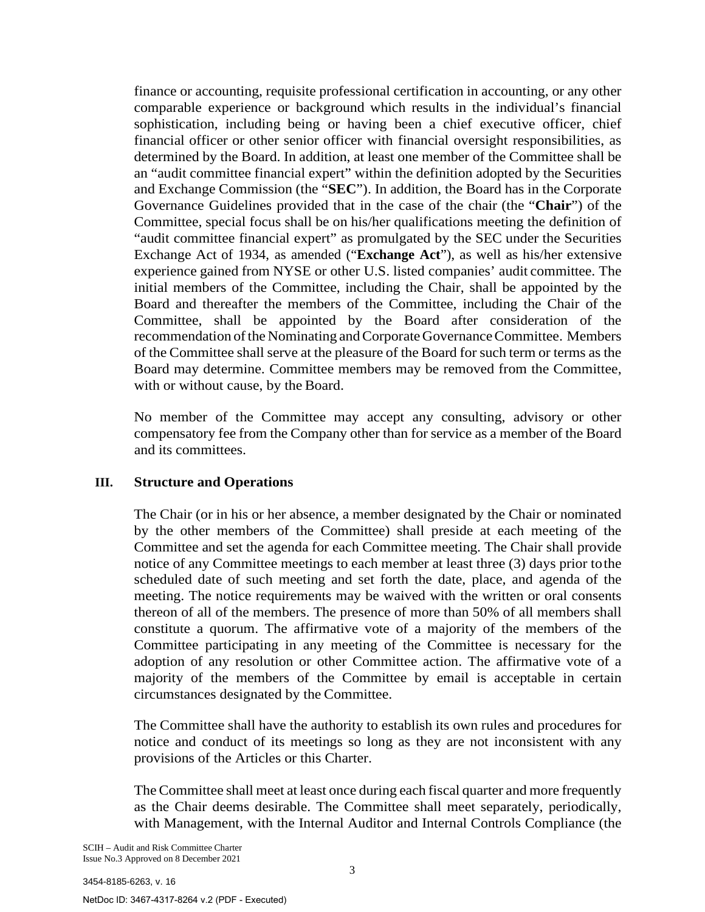finance or accounting, requisite professional certification in accounting, or any other comparable experience or background which results in the individual's financial sophistication, including being or having been a chief executive officer, chief financial officer or other senior officer with financial oversight responsibilities, as determined by the Board. In addition, at least one member of the Committee shall be an "audit committee financial expert" within the definition adopted by the Securities and Exchange Commission (the "**SEC**"). In addition, the Board has in the Corporate Governance Guidelines provided that in the case of the chair (the "**Chair**") of the Committee, special focus shall be on his/her qualifications meeting the definition of "audit committee financial expert" as promulgated by the SEC under the Securities Exchange Act of 1934, as amended ("**Exchange Act**"), as well as his/her extensive experience gained from NYSE or other U.S. listed companies' audit committee. The initial members of the Committee, including the Chair, shall be appointed by the Board and thereafter the members of the Committee, including the Chair of the Committee, shall be appointed by the Board after consideration of the recommendation of the Nominating and Corporate Governance Committee. Members of the Committee shall serve at the pleasure of the Board for such term or terms as the Board may determine. Committee members may be removed from the Committee, with or without cause, by the Board.

No member of the Committee may accept any consulting, advisory or other compensatory fee from the Company other than for service as a member of the Board and its committees.

# **III. Structure and Operations**

The Chair (or in his or her absence, a member designated by the Chair or nominated by the other members of the Committee) shall preside at each meeting of the Committee and set the agenda for each Committee meeting. The Chair shall provide notice of any Committee meetings to each member at least three (3) days prior tothe scheduled date of such meeting and set forth the date, place, and agenda of the meeting. The notice requirements may be waived with the written or oral consents thereon of all of the members. The presence of more than 50% of all members shall constitute a quorum. The affirmative vote of a majority of the members of the Committee participating in any meeting of the Committee is necessary for the adoption of any resolution or other Committee action. The affirmative vote of a majority of the members of the Committee by email is acceptable in certain circumstances designated by the Committee.

The Committee shall have the authority to establish its own rules and procedures for notice and conduct of its meetings so long as they are not inconsistent with any provisions of the Articles or this Charter.

The Committee shall meet at least once during each fiscal quarter and more frequently as the Chair deems desirable. The Committee shall meet separately, periodically, with Management, with the Internal Auditor and Internal Controls Compliance (the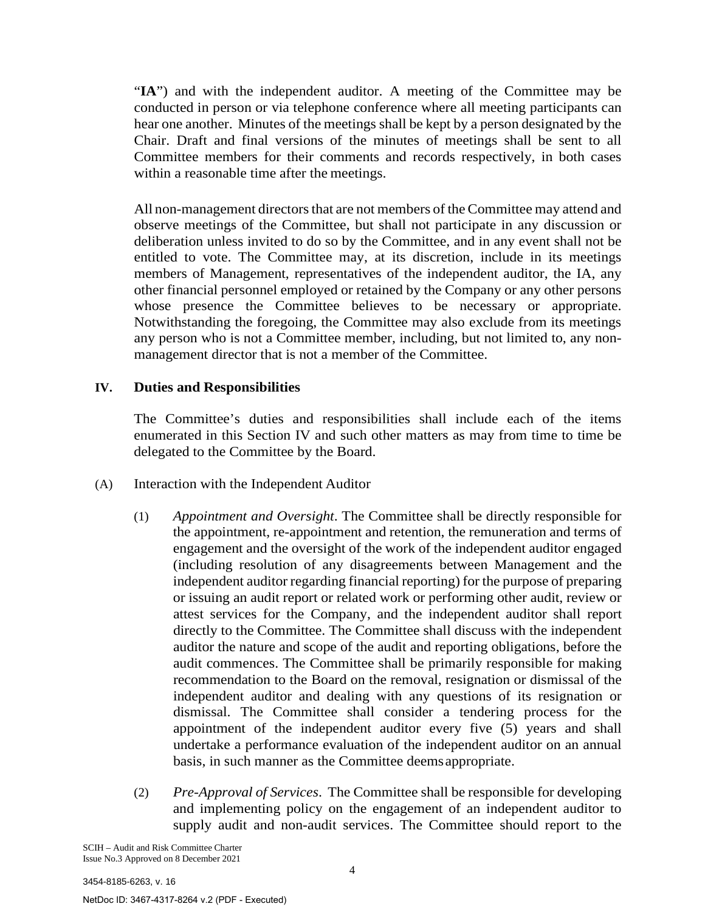"**IA**") and with the independent auditor. A meeting of the Committee may be conducted in person or via telephone conference where all meeting participants can hear one another. Minutes of the meetings shall be kept by a person designated by the Chair. Draft and final versions of the minutes of meetings shall be sent to all Committee members for their comments and records respectively, in both cases within a reasonable time after the meetings.

All non-management directors that are not members of the Committee may attend and observe meetings of the Committee, but shall not participate in any discussion or deliberation unless invited to do so by the Committee, and in any event shall not be entitled to vote. The Committee may, at its discretion, include in its meetings members of Management, representatives of the independent auditor, the IA, any other financial personnel employed or retained by the Company or any other persons whose presence the Committee believes to be necessary or appropriate. Notwithstanding the foregoing, the Committee may also exclude from its meetings any person who is not a Committee member, including, but not limited to, any nonmanagement director that is not a member of the Committee.

# **IV. Duties and Responsibilities**

The Committee's duties and responsibilities shall include each of the items enumerated in this Section IV and such other matters as may from time to time be delegated to the Committee by the Board.

- (A) Interaction with the Independent Auditor
	- (1) *Appointment and Oversight*. The Committee shall be directly responsible for the appointment, re-appointment and retention, the remuneration and terms of engagement and the oversight of the work of the independent auditor engaged (including resolution of any disagreements between Management and the independent auditor regarding financial reporting) for the purpose of preparing or issuing an audit report or related work or performing other audit, review or attest services for the Company, and the independent auditor shall report directly to the Committee. The Committee shall discuss with the independent auditor the nature and scope of the audit and reporting obligations, before the audit commences. The Committee shall be primarily responsible for making recommendation to the Board on the removal, resignation or dismissal of the independent auditor and dealing with any questions of its resignation or dismissal. The Committee shall consider a tendering process for the appointment of the independent auditor every five (5) years and shall undertake a performance evaluation of the independent auditor on an annual basis, in such manner as the Committee deemsappropriate.
	- (2) *Pre-Approval of Services*. The Committee shall be responsible for developing and implementing policy on the engagement of an independent auditor to supply audit and non-audit services. The Committee should report to the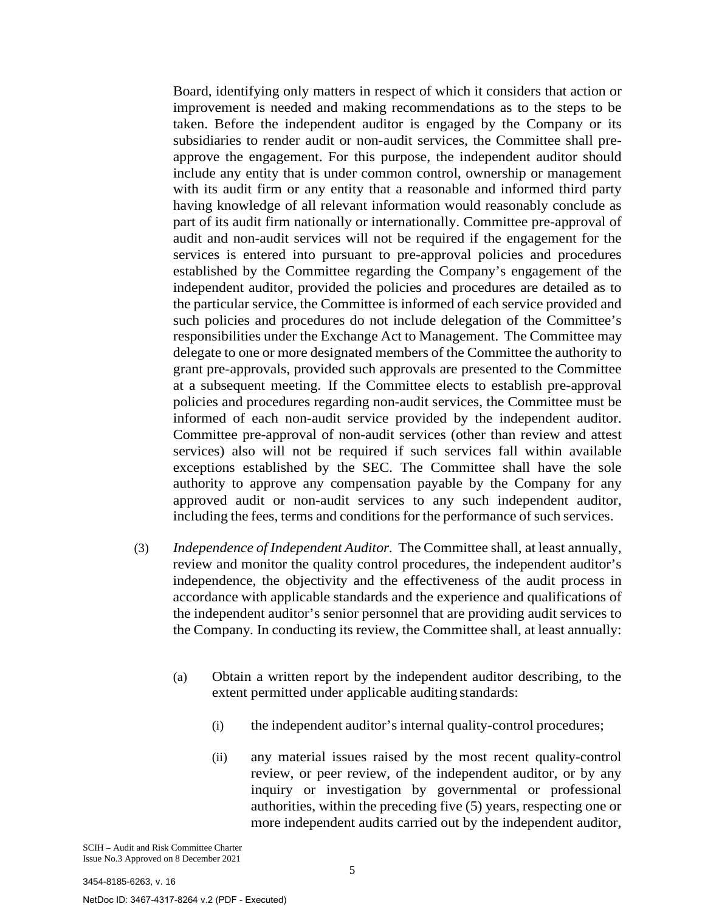Board, identifying only matters in respect of which it considers that action or improvement is needed and making recommendations as to the steps to be taken. Before the independent auditor is engaged by the Company or its subsidiaries to render audit or non-audit services, the Committee shall preapprove the engagement. For this purpose, the independent auditor should include any entity that is under common control, ownership or management with its audit firm or any entity that a reasonable and informed third party having knowledge of all relevant information would reasonably conclude as part of its audit firm nationally or internationally. Committee pre-approval of audit and non-audit services will not be required if the engagement for the services is entered into pursuant to pre-approval policies and procedures established by the Committee regarding the Company's engagement of the independent auditor, provided the policies and procedures are detailed as to the particular service, the Committee is informed of each service provided and such policies and procedures do not include delegation of the Committee's responsibilities under the Exchange Act to Management. The Committee may delegate to one or more designated members of the Committee the authority to grant pre-approvals, provided such approvals are presented to the Committee at a subsequent meeting. If the Committee elects to establish pre-approval policies and procedures regarding non-audit services, the Committee must be informed of each non-audit service provided by the independent auditor. Committee pre-approval of non-audit services (other than review and attest services) also will not be required if such services fall within available exceptions established by the SEC. The Committee shall have the sole authority to approve any compensation payable by the Company for any approved audit or non-audit services to any such independent auditor, including the fees, terms and conditions for the performance of such services.

- (3) *Independence of Independent Auditor.* The Committee shall, at least annually, review and monitor the quality control procedures, the independent auditor's independence, the objectivity and the effectiveness of the audit process in accordance with applicable standards and the experience and qualifications of the independent auditor's senior personnel that are providing audit services to the Company*.* In conducting its review, the Committee shall, at least annually:
	- (a) Obtain a written report by the independent auditor describing, to the extent permitted under applicable auditing standards:
		- (i) the independent auditor's internal quality-control procedures;
		- (ii) any material issues raised by the most recent quality-control review, or peer review, of the independent auditor, or by any inquiry or investigation by governmental or professional authorities, within the preceding five (5) years, respecting one or more independent audits carried out by the independent auditor,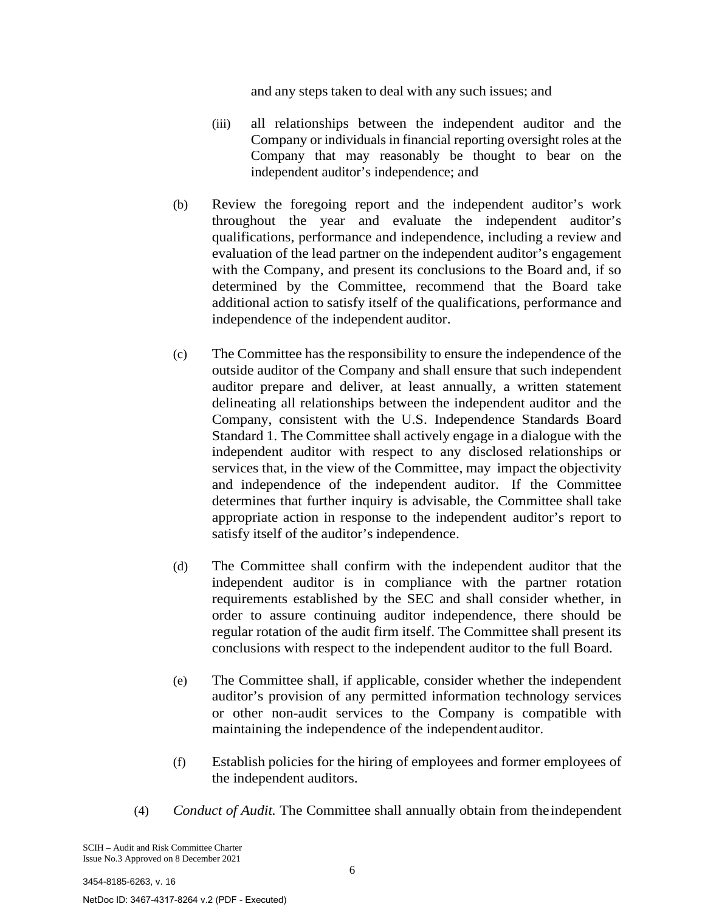and any steps taken to deal with any such issues; and

- (iii) all relationships between the independent auditor and the Company or individuals in financial reporting oversight roles at the Company that may reasonably be thought to bear on the independent auditor's independence; and
- (b) Review the foregoing report and the independent auditor's work throughout the year and evaluate the independent auditor's qualifications, performance and independence, including a review and evaluation of the lead partner on the independent auditor's engagement with the Company, and present its conclusions to the Board and, if so determined by the Committee, recommend that the Board take additional action to satisfy itself of the qualifications, performance and independence of the independent auditor.
- (c) The Committee has the responsibility to ensure the independence of the outside auditor of the Company and shall ensure that such independent auditor prepare and deliver, at least annually, a written statement delineating all relationships between the independent auditor and the Company, consistent with the U.S. Independence Standards Board Standard 1. The Committee shall actively engage in a dialogue with the independent auditor with respect to any disclosed relationships or services that, in the view of the Committee, may impact the objectivity and independence of the independent auditor. If the Committee determines that further inquiry is advisable, the Committee shall take appropriate action in response to the independent auditor's report to satisfy itself of the auditor's independence.
- (d) The Committee shall confirm with the independent auditor that the independent auditor is in compliance with the partner rotation requirements established by the SEC and shall consider whether, in order to assure continuing auditor independence, there should be regular rotation of the audit firm itself. The Committee shall present its conclusions with respect to the independent auditor to the full Board.
- (e) The Committee shall, if applicable, consider whether the independent auditor's provision of any permitted information technology services or other non-audit services to the Company is compatible with maintaining the independence of the independentauditor.
- (f) Establish policies for the hiring of employees and former employees of the independent auditors.
- (4) *Conduct of Audit.* The Committee shall annually obtain from theindependent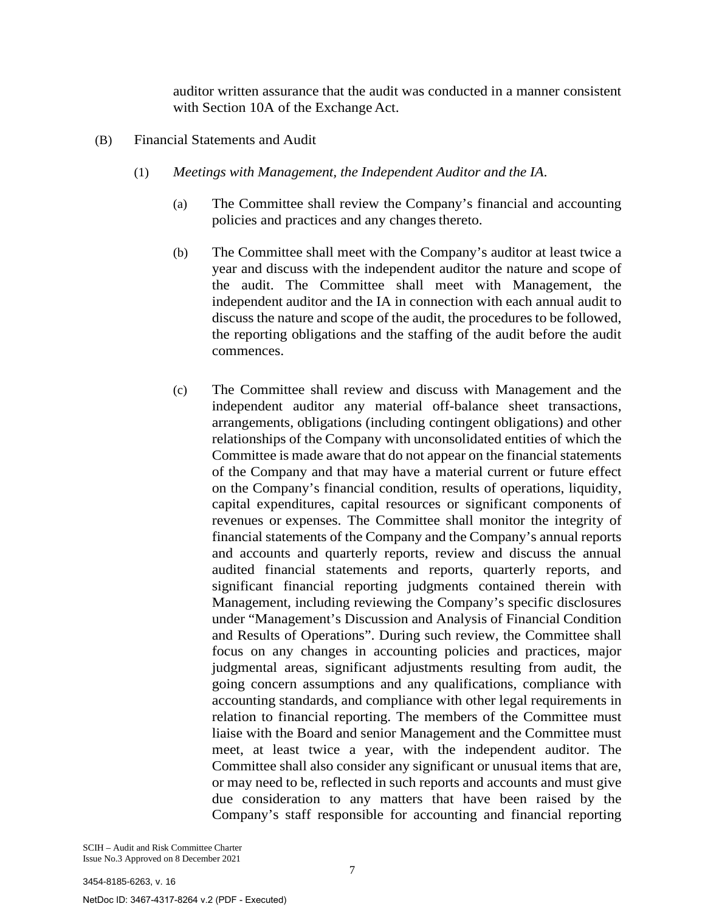auditor written assurance that the audit was conducted in a manner consistent with Section 10A of the Exchange Act.

- (B) Financial Statements and Audit
	- (1) *Meetings with Management, the Independent Auditor and the IA*.
		- (a) The Committee shall review the Company's financial and accounting policies and practices and any changes thereto.
		- (b) The Committee shall meet with the Company's auditor at least twice a year and discuss with the independent auditor the nature and scope of the audit. The Committee shall meet with Management, the independent auditor and the IA in connection with each annual audit to discuss the nature and scope of the audit, the procedures to be followed, the reporting obligations and the staffing of the audit before the audit commences.
		- (c) The Committee shall review and discuss with Management and the independent auditor any material off-balance sheet transactions, arrangements, obligations (including contingent obligations) and other relationships of the Company with unconsolidated entities of which the Committee is made aware that do not appear on the financial statements of the Company and that may have a material current or future effect on the Company's financial condition, results of operations, liquidity, capital expenditures, capital resources or significant components of revenues or expenses. The Committee shall monitor the integrity of financial statements of the Company and the Company's annual reports and accounts and quarterly reports, review and discuss the annual audited financial statements and reports, quarterly reports, and significant financial reporting judgments contained therein with Management, including reviewing the Company's specific disclosures under "Management's Discussion and Analysis of Financial Condition and Results of Operations". During such review, the Committee shall focus on any changes in accounting policies and practices, major judgmental areas, significant adjustments resulting from audit, the going concern assumptions and any qualifications, compliance with accounting standards, and compliance with other legal requirements in relation to financial reporting. The members of the Committee must liaise with the Board and senior Management and the Committee must meet, at least twice a year, with the independent auditor. The Committee shall also consider any significant or unusual items that are, or may need to be, reflected in such reports and accounts and must give due consideration to any matters that have been raised by the Company's staff responsible for accounting and financial reporting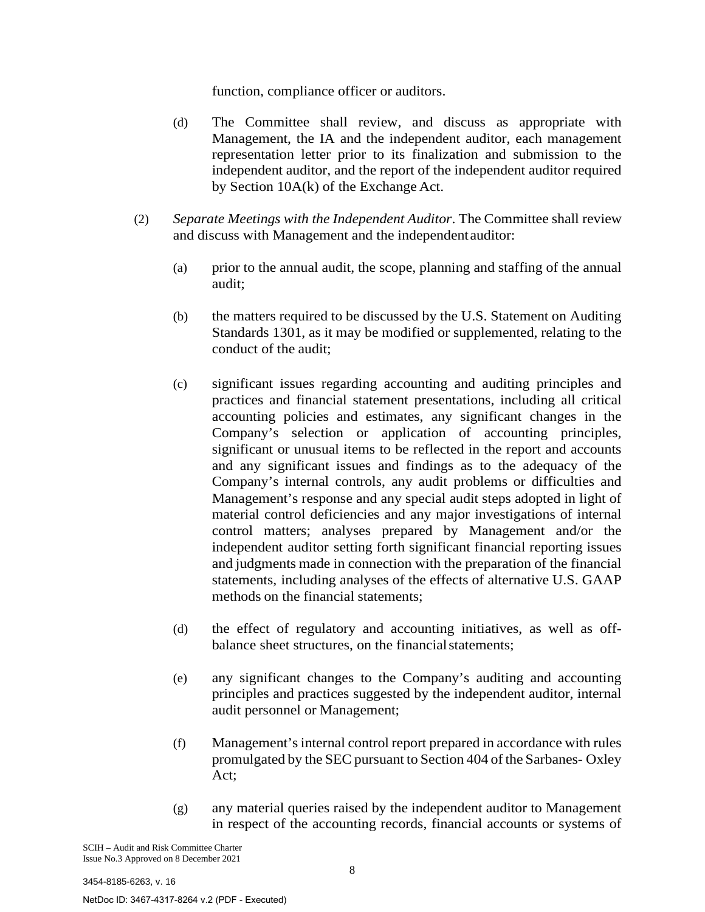function, compliance officer or auditors.

- (d) The Committee shall review, and discuss as appropriate with Management, the IA and the independent auditor, each management representation letter prior to its finalization and submission to the independent auditor, and the report of the independent auditor required by Section 10A(k) of the Exchange Act.
- (2) *Separate Meetings with the Independent Auditor*. The Committee shall review and discuss with Management and the independentauditor:
	- (a) prior to the annual audit, the scope, planning and staffing of the annual audit;
	- (b) the matters required to be discussed by the U.S. Statement on Auditing Standards 1301, as it may be modified or supplemented, relating to the conduct of the audit;
	- (c) significant issues regarding accounting and auditing principles and practices and financial statement presentations, including all critical accounting policies and estimates, any significant changes in the Company's selection or application of accounting principles, significant or unusual items to be reflected in the report and accounts and any significant issues and findings as to the adequacy of the Company's internal controls, any audit problems or difficulties and Management's response and any special audit steps adopted in light of material control deficiencies and any major investigations of internal control matters; analyses prepared by Management and/or the independent auditor setting forth significant financial reporting issues and judgments made in connection with the preparation of the financial statements, including analyses of the effects of alternative U.S. GAAP methods on the financial statements;
	- (d) the effect of regulatory and accounting initiatives, as well as offbalance sheet structures, on the financial statements;
	- (e) any significant changes to the Company's auditing and accounting principles and practices suggested by the independent auditor, internal audit personnel or Management;
	- (f) Management's internal control report prepared in accordance with rules promulgated by the SEC pursuant to Section 404 of the Sarbanes- Oxley Act;
	- (g) any material queries raised by the independent auditor to Management in respect of the accounting records, financial accounts or systems of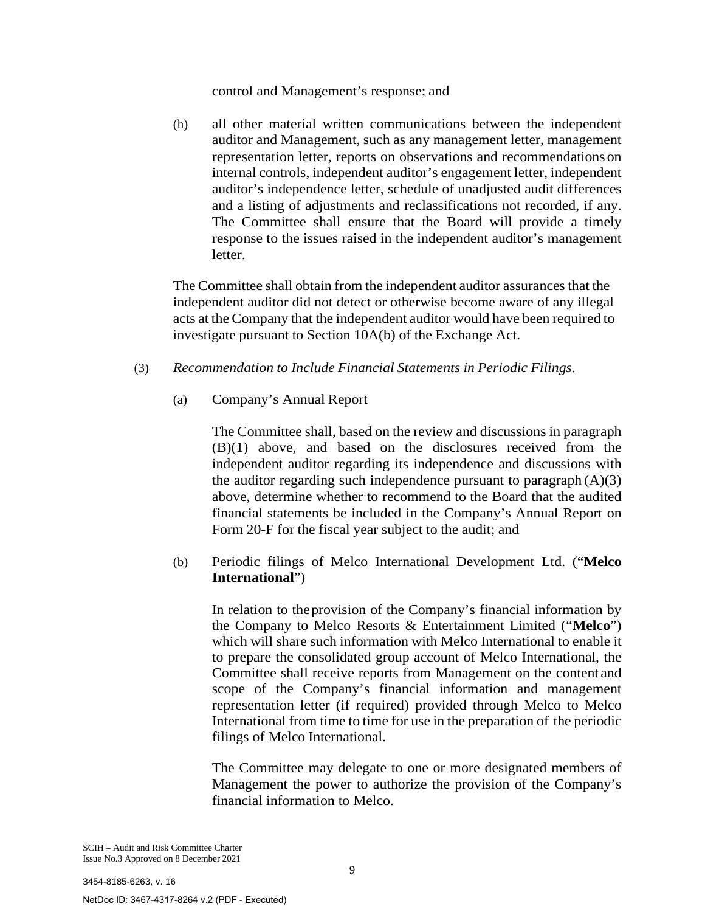#### control and Management's response; and

(h) all other material written communications between the independent auditor and Management, such as any management letter, management representation letter, reports on observations and recommendations on internal controls, independent auditor's engagement letter, independent auditor's independence letter, schedule of unadjusted audit differences and a listing of adjustments and reclassifications not recorded, if any. The Committee shall ensure that the Board will provide a timely response to the issues raised in the independent auditor's management letter.

The Committee shall obtain from the independent auditor assurances that the independent auditor did not detect or otherwise become aware of any illegal acts at the Company that the independent auditor would have been required to investigate pursuant to Section 10A(b) of the Exchange Act.

- (3) *Recommendation to Include Financial Statements in Periodic Filings*.
	- (a) Company's Annual Report

The Committee shall, based on the review and discussions in paragraph (B)(1) above, and based on the disclosures received from the independent auditor regarding its independence and discussions with the auditor regarding such independence pursuant to paragraph  $(A)(3)$ above, determine whether to recommend to the Board that the audited financial statements be included in the Company's Annual Report on Form 20-F for the fiscal year subject to the audit; and

(b) Periodic filings of Melco International Development Ltd. ("**Melco International**")

In relation to theprovision of the Company's financial information by the Company to Melco Resorts & Entertainment Limited ("**Melco**") which will share such information with Melco International to enable it to prepare the consolidated group account of Melco International, the Committee shall receive reports from Management on the content and scope of the Company's financial information and management representation letter (if required) provided through Melco to Melco International from time to time for use in the preparation of the periodic filings of Melco International.

The Committee may delegate to one or more designated members of Management the power to authorize the provision of the Company's financial information to Melco.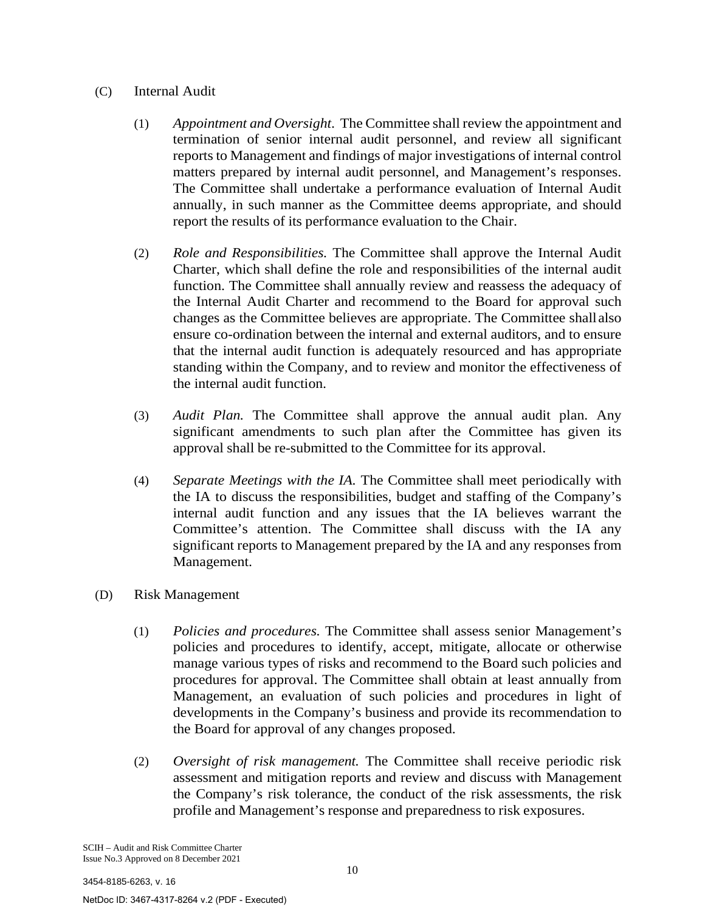# (C) Internal Audit

- (1) *Appointment and Oversight*. The Committee shall review the appointment and termination of senior internal audit personnel, and review all significant reports to Management and findings of major investigations of internal control matters prepared by internal audit personnel, and Management's responses. The Committee shall undertake a performance evaluation of Internal Audit annually, in such manner as the Committee deems appropriate, and should report the results of its performance evaluation to the Chair.
- (2) *Role and Responsibilities.* The Committee shall approve the Internal Audit Charter, which shall define the role and responsibilities of the internal audit function. The Committee shall annually review and reassess the adequacy of the Internal Audit Charter and recommend to the Board for approval such changes as the Committee believes are appropriate. The Committee shallalso ensure co-ordination between the internal and external auditors, and to ensure that the internal audit function is adequately resourced and has appropriate standing within the Company, and to review and monitor the effectiveness of the internal audit function.
- (3) *Audit Plan.* The Committee shall approve the annual audit plan. Any significant amendments to such plan after the Committee has given its approval shall be re-submitted to the Committee for its approval.
- (4) *Separate Meetings with the IA.* The Committee shall meet periodically with the IA to discuss the responsibilities, budget and staffing of the Company's internal audit function and any issues that the IA believes warrant the Committee's attention. The Committee shall discuss with the IA any significant reports to Management prepared by the IA and any responses from Management.
- (D) Risk Management
	- (1) *Policies and procedures.* The Committee shall assess senior Management's policies and procedures to identify, accept, mitigate, allocate or otherwise manage various types of risks and recommend to the Board such policies and procedures for approval. The Committee shall obtain at least annually from Management, an evaluation of such policies and procedures in light of developments in the Company's business and provide its recommendation to the Board for approval of any changes proposed.
	- (2) *Oversight of risk management.* The Committee shall receive periodic risk assessment and mitigation reports and review and discuss with Management the Company's risk tolerance, the conduct of the risk assessments, the risk profile and Management's response and preparedness to risk exposures.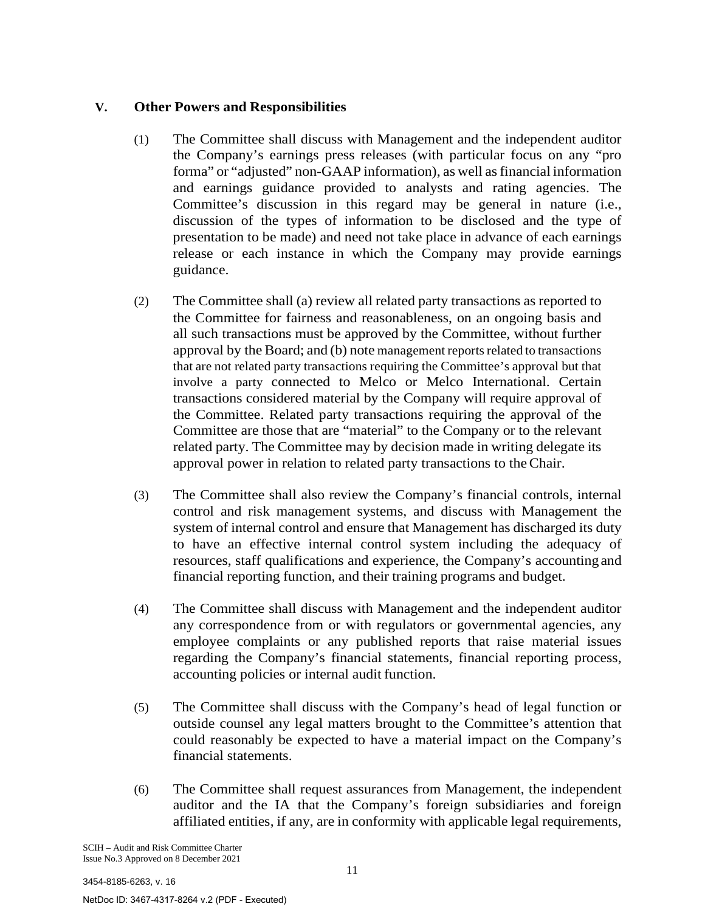# **V. Other Powers and Responsibilities**

- (1) The Committee shall discuss with Management and the independent auditor the Company's earnings press releases (with particular focus on any "pro forma" or "adjusted" non-GAAP information), as well asfinancial information and earnings guidance provided to analysts and rating agencies. The Committee's discussion in this regard may be general in nature (i.e., discussion of the types of information to be disclosed and the type of presentation to be made) and need not take place in advance of each earnings release or each instance in which the Company may provide earnings guidance.
- (2) The Committee shall (a) review all related party transactions as reported to the Committee for fairness and reasonableness, on an ongoing basis and all such transactions must be approved by the Committee, without further approval by the Board; and (b) note management reports related to transactions that are not related party transactions requiring the Committee's approval but that involve a party connected to Melco or Melco International. Certain transactions considered material by the Company will require approval of the Committee. Related party transactions requiring the approval of the Committee are those that are "material" to the Company or to the relevant related party. The Committee may by decision made in writing delegate its approval power in relation to related party transactions to the Chair.
- (3) The Committee shall also review the Company's financial controls, internal control and risk management systems, and discuss with Management the system of internal control and ensure that Management has discharged its duty to have an effective internal control system including the adequacy of resources, staff qualifications and experience, the Company's accounting and financial reporting function, and their training programs and budget.
- (4) The Committee shall discuss with Management and the independent auditor any correspondence from or with regulators or governmental agencies, any employee complaints or any published reports that raise material issues regarding the Company's financial statements, financial reporting process, accounting policies or internal audit function.
- (5) The Committee shall discuss with the Company's head of legal function or outside counsel any legal matters brought to the Committee's attention that could reasonably be expected to have a material impact on the Company's financial statements.
- (6) The Committee shall request assurances from Management, the independent auditor and the IA that the Company's foreign subsidiaries and foreign affiliated entities, if any, are in conformity with applicable legal requirements,

NetDoc ID: 3467-4317-8264 v.2 (PDF - Executed)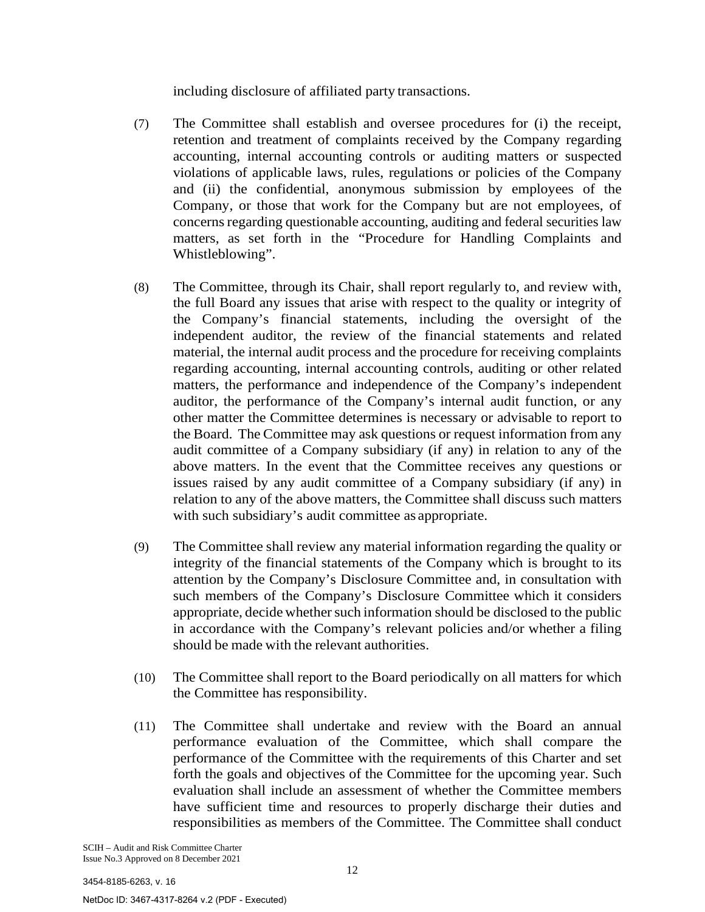including disclosure of affiliated party transactions.

- (7) The Committee shall establish and oversee procedures for (i) the receipt, retention and treatment of complaints received by the Company regarding accounting, internal accounting controls or auditing matters or suspected violations of applicable laws, rules, regulations or policies of the Company and (ii) the confidential, anonymous submission by employees of the Company, or those that work for the Company but are not employees, of concerns regarding questionable accounting, auditing and federal securities law matters, as set forth in the "Procedure for Handling Complaints and Whistleblowing".
- (8) The Committee, through its Chair, shall report regularly to, and review with, the full Board any issues that arise with respect to the quality or integrity of the Company's financial statements, including the oversight of the independent auditor, the review of the financial statements and related material, the internal audit process and the procedure for receiving complaints regarding accounting, internal accounting controls, auditing or other related matters, the performance and independence of the Company's independent auditor, the performance of the Company's internal audit function, or any other matter the Committee determines is necessary or advisable to report to the Board. The Committee may ask questions or request information from any audit committee of a Company subsidiary (if any) in relation to any of the above matters. In the event that the Committee receives any questions or issues raised by any audit committee of a Company subsidiary (if any) in relation to any of the above matters, the Committee shall discuss such matters with such subsidiary's audit committee as appropriate.
- (9) The Committee shall review any material information regarding the quality or integrity of the financial statements of the Company which is brought to its attention by the Company's Disclosure Committee and, in consultation with such members of the Company's Disclosure Committee which it considers appropriate, decide whether such information should be disclosed to the public in accordance with the Company's relevant policies and/or whether a filing should be made with the relevant authorities.
- (10) The Committee shall report to the Board periodically on all matters for which the Committee has responsibility.
- (11) The Committee shall undertake and review with the Board an annual performance evaluation of the Committee, which shall compare the performance of the Committee with the requirements of this Charter and set forth the goals and objectives of the Committee for the upcoming year. Such evaluation shall include an assessment of whether the Committee members have sufficient time and resources to properly discharge their duties and responsibilities as members of the Committee. The Committee shall conduct

NetDoc ID: 3467-4317-8264 v.2 (PDF - Executed)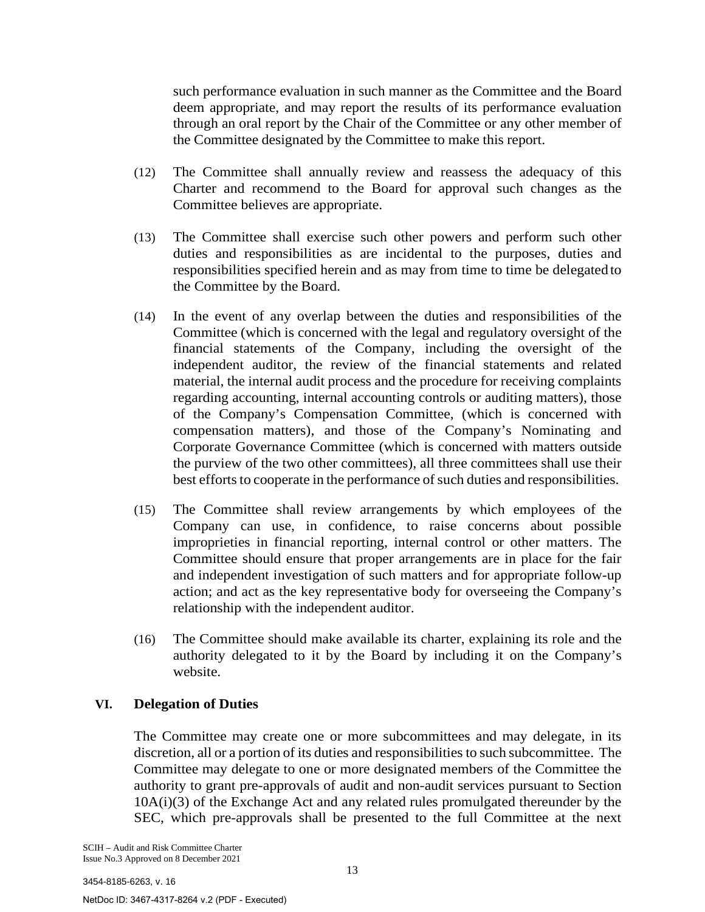such performance evaluation in such manner as the Committee and the Board deem appropriate, and may report the results of its performance evaluation through an oral report by the Chair of the Committee or any other member of the Committee designated by the Committee to make this report.

- (12) The Committee shall annually review and reassess the adequacy of this Charter and recommend to the Board for approval such changes as the Committee believes are appropriate.
- (13) The Committee shall exercise such other powers and perform such other duties and responsibilities as are incidental to the purposes, duties and responsibilities specified herein and as may from time to time be delegated to the Committee by the Board.
- (14) In the event of any overlap between the duties and responsibilities of the Committee (which is concerned with the legal and regulatory oversight of the financial statements of the Company, including the oversight of the independent auditor, the review of the financial statements and related material, the internal audit process and the procedure for receiving complaints regarding accounting, internal accounting controls or auditing matters), those of the Company's Compensation Committee, (which is concerned with compensation matters), and those of the Company's Nominating and Corporate Governance Committee (which is concerned with matters outside the purview of the two other committees), all three committees shall use their best efforts to cooperate in the performance of such duties and responsibilities.
- (15) The Committee shall review arrangements by which employees of the Company can use, in confidence, to raise concerns about possible improprieties in financial reporting, internal control or other matters. The Committee should ensure that proper arrangements are in place for the fair and independent investigation of such matters and for appropriate follow-up action; and act as the key representative body for overseeing the Company's relationship with the independent auditor.
- (16) The Committee should make available its charter, explaining its role and the authority delegated to it by the Board by including it on the Company's website.

# **VI. Delegation of Duties**

The Committee may create one or more subcommittees and may delegate, in its discretion, all or a portion of its duties and responsibilitiesto such subcommittee. The Committee may delegate to one or more designated members of the Committee the authority to grant pre-approvals of audit and non-audit services pursuant to Section 10A(i)(3) of the Exchange Act and any related rules promulgated thereunder by the SEC, which pre-approvals shall be presented to the full Committee at the next